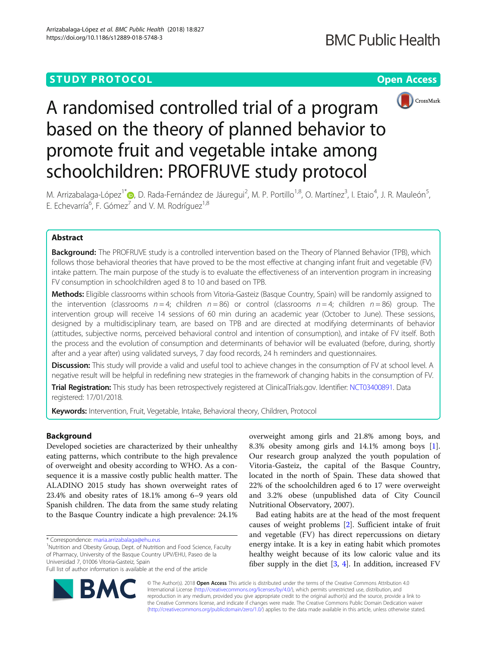

# A randomised controlled trial of a program based on the theory of planned behavior to promote fruit and vegetable intake among schoolchildren: PROFRUVE study protocol

M. Arrizabalaga-López<sup>1[\\*](http://orcid.org/0000-0002-8791-1469)</sup>®, D. Rada-Fernández de Jáuregui<sup>2</sup>, M. P. Portillo<sup>1,8</sup>, O. Martínez<sup>3</sup>, I. Etaio<sup>4</sup>, J. R. Mauleón<sup>5</sup> .<br>، E. Echevarría<sup>6</sup>, F. Gómez<sup>7</sup> and V. M. Rodríguez<sup>1,8</sup>

# Abstract

**Background:** The PROFRUVE study is a controlled intervention based on the Theory of Planned Behavior (TPB), which follows those behavioral theories that have proved to be the most effective at changing infant fruit and vegetable (FV) intake pattern. The main purpose of the study is to evaluate the effectiveness of an intervention program in increasing FV consumption in schoolchildren aged 8 to 10 and based on TPB.

Methods: Eligible classrooms within schools from Vitoria-Gasteiz (Basque Country, Spain) will be randomly assigned to the intervention (classrooms  $n = 4$ ; children  $n = 86$ ) or control (classrooms  $n = 4$ ; children  $n = 86$ ) group. The intervention group will receive 14 sessions of 60 min during an academic year (October to June). These sessions, designed by a multidisciplinary team, are based on TPB and are directed at modifying determinants of behavior (attitudes, subjective norms, perceived behavioral control and intention of consumption), and intake of FV itself. Both the process and the evolution of consumption and determinants of behavior will be evaluated (before, during, shortly after and a year after) using validated surveys, 7 day food records, 24 h reminders and questionnaires.

Discussion: This study will provide a valid and useful tool to achieve changes in the consumption of FV at school level. A negative result will be helpful in redefining new strategies in the framework of changing habits in the consumption of FV.

Trial Registration: This study has been retrospectively registered at ClinicalTrials.gov. Identifier: [NCT03400891.](https://clinicaltrials.gov/ct2/show/NCT03400891?term=NCT03400891&rank=1) Data registered: 17/01/2018.

Keywords: Intervention, Fruit, Vegetable, Intake, Behavioral theory, Children, Protocol

# Background

Developed societies are characterized by their unhealthy eating patterns, which contribute to the high prevalence of overweight and obesity according to WHO. As a consequence it is a massive costly public health matter. The ALADINO 2015 study has shown overweight rates of 23.4% and obesity rates of 18.1% among 6–9 years old Spanish children. The data from the same study relating to the Basque Country indicate a high prevalence: 24.1%

<sup>1</sup>Nutrition and Obesity Group, Dept. of Nutrition and Food Science, Faculty of Pharmacy, University of the Basque Country UPV/EHU, Paseo de la Universidad 7, 01006 Vitoria-Gasteiz, Spain

overweight among girls and 21.8% among boys, and 8.3% obesity among girls and 14.1% among boys [\[1](#page-5-0)]. Our research group analyzed the youth population of Vitoria-Gasteiz, the capital of the Basque Country, located in the north of Spain. These data showed that 22% of the schoolchildren aged 6 to 17 were overweight and 3.2% obese (unpublished data of City Council Nutritional Observatory, 2007).

Bad eating habits are at the head of the most frequent causes of weight problems [\[2](#page-5-0)]. Sufficient intake of fruit and vegetable (FV) has direct repercussions on dietary energy intake. It is a key in eating habit which promotes healthy weight because of its low caloric value and its fiber supply in the diet [[3,](#page-6-0) [4](#page-6-0)]. In addition, increased FV



© The Author(s). 2018 Open Access This article is distributed under the terms of the Creative Commons Attribution 4.0 International License [\(http://creativecommons.org/licenses/by/4.0/](http://creativecommons.org/licenses/by/4.0/)), which permits unrestricted use, distribution, and reproduction in any medium, provided you give appropriate credit to the original author(s) and the source, provide a link to the Creative Commons license, and indicate if changes were made. The Creative Commons Public Domain Dedication waiver [\(http://creativecommons.org/publicdomain/zero/1.0/](http://creativecommons.org/publicdomain/zero/1.0/)) applies to the data made available in this article, unless otherwise stated.

<sup>\*</sup> Correspondence: [maria.arrizabalaga@ehu.eus](mailto:maria.arrizabalaga@ehu.eus) <sup>1</sup>

Full list of author information is available at the end of the article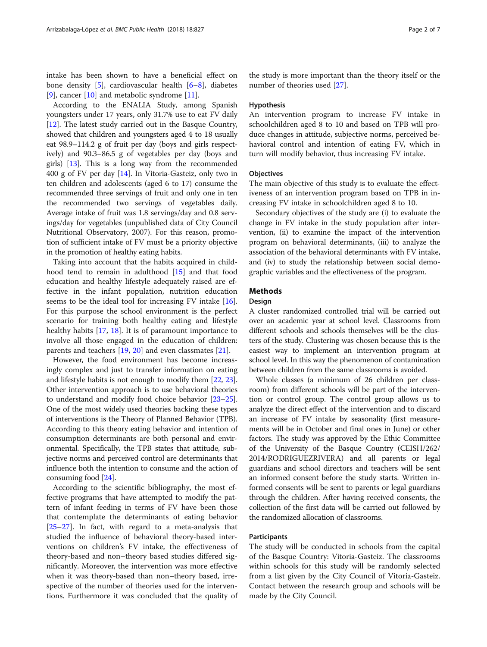intake has been shown to have a beneficial effect on bone density  $[5]$ , cardiovascular health  $[6-8]$  $[6-8]$  $[6-8]$  $[6-8]$ , diabetes [[9\]](#page-6-0), cancer [[10\]](#page-6-0) and metabolic syndrome [[11\]](#page-6-0).

According to the ENALIA Study, among Spanish youngsters under 17 years, only 31.7% use to eat FV daily [[12](#page-6-0)]. The latest study carried out in the Basque Country, showed that children and youngsters aged 4 to 18 usually eat 98.9–114.2 g of fruit per day (boys and girls respectively) and 90.3–86.5 g of vegetables per day (boys and girls) [[13](#page-6-0)]. This is a long way from the recommended 400 g of FV per day [[14](#page-6-0)]. In Vitoria-Gasteiz, only two in ten children and adolescents (aged 6 to 17) consume the recommended three servings of fruit and only one in ten the recommended two servings of vegetables daily. Average intake of fruit was 1.8 servings/day and 0.8 servings/day for vegetables (unpublished data of City Council Nutritional Observatory, 2007). For this reason, promotion of sufficient intake of FV must be a priority objective in the promotion of healthy eating habits.

Taking into account that the habits acquired in childhood tend to remain in adulthood [[15\]](#page-6-0) and that food education and healthy lifestyle adequately raised are effective in the infant population, nutrition education seems to be the ideal tool for increasing FV intake  $[16]$  $[16]$ . For this purpose the school environment is the perfect scenario for training both healthy eating and lifestyle healthy habits [\[17](#page-6-0), [18](#page-6-0)]. It is of paramount importance to involve all those engaged in the education of children: parents and teachers [\[19](#page-6-0), [20](#page-6-0)] and even classmates [\[21\]](#page-6-0).

However, the food environment has become increasingly complex and just to transfer information on eating and lifestyle habits is not enough to modify them [\[22,](#page-6-0) [23](#page-6-0)]. Other intervention approach is to use behavioral theories to understand and modify food choice behavior [\[23](#page-6-0)–[25](#page-6-0)]. One of the most widely used theories backing these types of interventions is the Theory of Planned Behavior (TPB). According to this theory eating behavior and intention of consumption determinants are both personal and environmental. Specifically, the TPB states that attitude, subjective norms and perceived control are determinants that influence both the intention to consume and the action of consuming food [\[24\]](#page-6-0).

According to the scientific bibliography, the most effective programs that have attempted to modify the pattern of infant feeding in terms of FV have been those that contemplate the determinants of eating behavior [[25](#page-6-0)–[27](#page-6-0)]. In fact, with regard to a meta-analysis that studied the influence of behavioral theory-based interventions on children's FV intake, the effectiveness of theory-based and non–theory based studies differed significantly. Moreover, the intervention was more effective when it was theory-based than non–theory based, irrespective of the number of theories used for the interventions. Furthermore it was concluded that the quality of

the study is more important than the theory itself or the number of theories used [[27\]](#page-6-0).

#### Hypothesis

An intervention program to increase FV intake in schoolchildren aged 8 to 10 and based on TPB will produce changes in attitude, subjective norms, perceived behavioral control and intention of eating FV, which in turn will modify behavior, thus increasing FV intake.

## **Objectives**

The main objective of this study is to evaluate the effectiveness of an intervention program based on TPB in increasing FV intake in schoolchildren aged 8 to 10.

Secondary objectives of the study are (i) to evaluate the change in FV intake in the study population after intervention, (ii) to examine the impact of the intervention program on behavioral determinants, (iii) to analyze the association of the behavioral determinants with FV intake, and (iv) to study the relationship between social demographic variables and the effectiveness of the program.

## Methods

## **Design**

A cluster randomized controlled trial will be carried out over an academic year at school level. Classrooms from different schools and schools themselves will be the clusters of the study. Clustering was chosen because this is the easiest way to implement an intervention program at school level. In this way the phenomenon of contamination between children from the same classrooms is avoided.

Whole classes (a minimum of 26 children per classroom) from different schools will be part of the intervention or control group. The control group allows us to analyze the direct effect of the intervention and to discard an increase of FV intake by seasonality (first measurements will be in October and final ones in June) or other factors. The study was approved by the Ethic Committee of the University of the Basque Country (CEISH/262/ 2014/RODRIGUEZRIVERA) and all parents or legal guardians and school directors and teachers will be sent an informed consent before the study starts. Written informed consents will be sent to parents or legal guardians through the children. After having received consents, the collection of the first data will be carried out followed by the randomized allocation of classrooms.

## Participants

The study will be conducted in schools from the capital of the Basque Country: Vitoria-Gasteiz. The classrooms within schools for this study will be randomly selected from a list given by the City Council of Vitoria-Gasteiz. Contact between the research group and schools will be made by the City Council.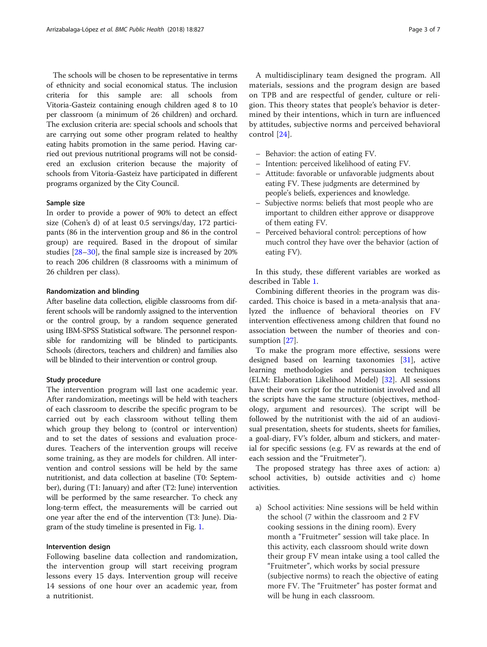The schools will be chosen to be representative in terms of ethnicity and social economical status. The inclusion criteria for this sample are: all schools from Vitoria-Gasteiz containing enough children aged 8 to 10 per classroom (a minimum of 26 children) and orchard. The exclusion criteria are: special schools and schools that are carrying out some other program related to healthy eating habits promotion in the same period. Having carried out previous nutritional programs will not be considered an exclusion criterion because the majority of schools from Vitoria-Gasteiz have participated in different programs organized by the City Council.

## Sample size

In order to provide a power of 90% to detect an effect size (Cohen's d) of at least 0.5 servings/day, 172 participants (86 in the intervention group and 86 in the control group) are required. Based in the dropout of similar studies [\[28](#page-6-0)–[30\]](#page-6-0), the final sample size is increased by 20% to reach 206 children (8 classrooms with a minimum of 26 children per class).

### Randomization and blinding

After baseline data collection, eligible classrooms from different schools will be randomly assigned to the intervention or the control group, by a random sequence generated using IBM-SPSS Statistical software. The personnel responsible for randomizing will be blinded to participants. Schools (directors, teachers and children) and families also will be blinded to their intervention or control group.

#### Study procedure

The intervention program will last one academic year. After randomization, meetings will be held with teachers of each classroom to describe the specific program to be carried out by each classroom without telling them which group they belong to (control or intervention) and to set the dates of sessions and evaluation procedures. Teachers of the intervention groups will receive some training, as they are models for children. All intervention and control sessions will be held by the same nutritionist, and data collection at baseline (T0: September), during (T1: January) and after (T2: June) intervention will be performed by the same researcher. To check any long-term effect, the measurements will be carried out one year after the end of the intervention (T3: June). Diagram of the study timeline is presented in Fig. [1](#page-3-0).

#### Intervention design

Following baseline data collection and randomization, the intervention group will start receiving program lessons every 15 days. Intervention group will receive 14 sessions of one hour over an academic year, from a nutritionist.

A multidisciplinary team designed the program. All materials, sessions and the program design are based on TPB and are respectful of gender, culture or religion. This theory states that people's behavior is determined by their intentions, which in turn are influenced by attitudes, subjective norms and perceived behavioral control [\[24\]](#page-6-0).

- Behavior: the action of eating FV.
- Intention: perceived likelihood of eating FV.
- Attitude: favorable or unfavorable judgments about eating FV. These judgments are determined by people's beliefs, experiences and knowledge.
- Subjective norms: beliefs that most people who are important to children either approve or disapprove of them eating FV.
- Perceived behavioral control: perceptions of how much control they have over the behavior (action of eating FV).

In this study, these different variables are worked as described in Table [1](#page-4-0).

Combining different theories in the program was discarded. This choice is based in a meta-analysis that analyzed the influence of behavioral theories on FV intervention effectiveness among children that found no association between the number of theories and consumption [[27](#page-6-0)].

To make the program more effective, sessions were designed based on learning taxonomies [[31\]](#page-6-0), active learning methodologies and persuasion techniques (ELM: Elaboration Likelihood Model) [\[32](#page-6-0)]. All sessions have their own script for the nutritionist involved and all the scripts have the same structure (objectives, methodology, argument and resources). The script will be followed by the nutritionist with the aid of an audiovisual presentation, sheets for students, sheets for families, a goal-diary, FV's folder, album and stickers, and material for specific sessions (e.g. FV as rewards at the end of each session and the "Fruitmeter").

The proposed strategy has three axes of action: a) school activities, b) outside activities and c) home activities.

a) School activities: Nine sessions will be held within the school (7 within the classroom and 2 FV cooking sessions in the dining room). Every month a "Fruitmeter" session will take place. In this activity, each classroom should write down their group FV mean intake using a tool called the "Fruitmeter", which works by social pressure (subjective norms) to reach the objective of eating more FV. The "Fruitmeter" has poster format and will be hung in each classroom.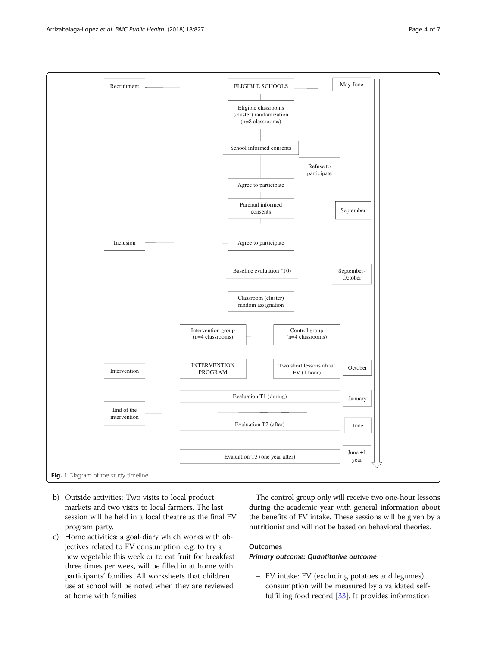<span id="page-3-0"></span>

- b) Outside activities: Two visits to local product markets and two visits to local farmers. The last session will be held in a local theatre as the final FV program party.
- c) Home activities: a goal-diary which works with objectives related to FV consumption, e.g. to try a new vegetable this week or to eat fruit for breakfast three times per week, will be filled in at home with participants' families. All worksheets that children use at school will be noted when they are reviewed at home with families.

The control group only will receive two one-hour lessons during the academic year with general information about the benefits of FV intake. These sessions will be given by a nutritionist and will not be based on behavioral theories.

## **Outcomes**

# Primary outcome: Quantitative outcome

– FV intake: FV (excluding potatoes and legumes) consumption will be measured by a validated selffulfilling food record [[33](#page-6-0)]. It provides information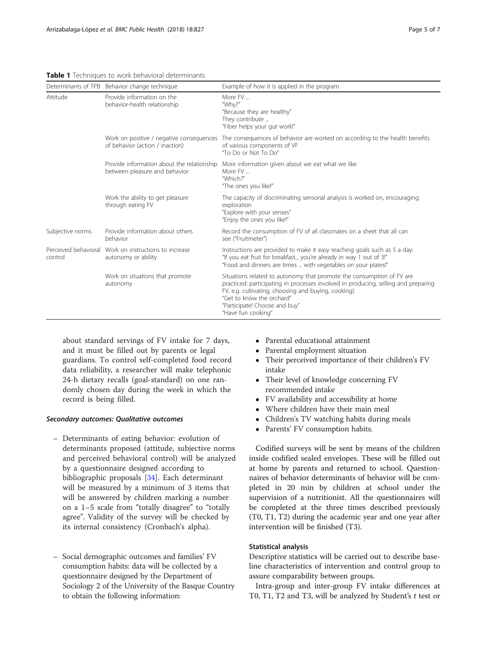<span id="page-4-0"></span>Table 1 Techniques to work behavioral determinants

| Determinants of TPB             | Behavior change technique                                                   | Example of how it is applied in the program                                                                                                                                                                                                                                                             |
|---------------------------------|-----------------------------------------------------------------------------|---------------------------------------------------------------------------------------------------------------------------------------------------------------------------------------------------------------------------------------------------------------------------------------------------------|
| Attitude                        | Provide information on the<br>behavior-health relationship                  | More FV<br>"Why?"<br>"Because they are healthy"<br>They contribute<br>"Fiber helps your gut work!"                                                                                                                                                                                                      |
|                                 | Work on positive / negative consequences<br>of behavior (action / inaction) | The consequences of behavior are worked on according to the health benefits<br>of various components of VF<br>"To Do or Not To Do"                                                                                                                                                                      |
|                                 | Provide information about the relationship<br>between pleasure and behavior | More information given about we eat what we like<br>More FV<br>"Which?"<br>"The ones you like!"                                                                                                                                                                                                         |
|                                 | Work the ability to get pleasure<br>through eating FV                       | The capacity of discriminating sensorial analysis is worked on, encouraging<br>exploration<br>"Explore with your senses"<br>"Enjoy the ones you like!"                                                                                                                                                  |
| Subjective norms                | Provide information about others<br>behavior                                | Record the consumption of FV of all classmates on a sheet that all can<br>see ("Fruitmeter")                                                                                                                                                                                                            |
| Perceived behavioral<br>control | Work on instructions to increase<br>autonomy or ability                     | Instructions are provided to make it easy reaching goals such as 5 a day:<br>"If you eat fruit for breakfast you're already in way 1 out of 3!"<br>"Food and dinners are times  with vegetables on your plates!"                                                                                        |
|                                 | Work on situations that promote<br>autonomy                                 | Situations related to autonomy that promote the consumption of FV are<br>practiced: participating in processes involved in producing, selling and preparing<br>FV, e.g. cultivating, choosing and buying, cooking).<br>"Get to know the orchard"<br>"Participate! Choose and buy"<br>"Have fun cooking" |

about standard servings of FV intake for 7 days, and it must be filled out by parents or legal guardians. To control self-completed food record data reliability, a researcher will make telephonic 24-h dietary recalls (goal-standard) on one randomly chosen day during the week in which the record is being filled.

## Secondary outcomes: Qualitative outcomes

- Determinants of eating behavior: evolution of determinants proposed (attitude, subjective norms and perceived behavioral control) will be analyzed by a questionnaire designed according to bibliographic proposals [[34\]](#page-6-0). Each determinant will be measured by a minimum of 3 items that will be answered by children marking a number on a 1–5 scale from "totally disagree" to "totally agree". Validity of the survey will be checked by its internal consistency (Cronbach's alpha).
- Social demographic outcomes and families' FV consumption habits: data will be collected by a questionnaire designed by the Department of Sociology 2 of the University of the Basque Country to obtain the following information:
- Parental educational attainment
- Parental employment situation
- Their perceived importance of their children's FV intake
- Their level of knowledge concerning FV recommended intake
- FV availability and accessibility at home
- Where children have their main meal<br>• Children's TV watching habits during
- Children's TV watching habits during meals
- Parents' FV consumption habits.

Codified surveys will be sent by means of the children inside codified sealed envelopes. These will be filled out at home by parents and returned to school. Questionnaires of behavior determinants of behavior will be completed in 20 min by children at school under the supervision of a nutritionist. All the questionnaires will be completed at the three times described previously (T0, T1, T2) during the academic year and one year after intervention will be finished (T3).

## Statistical analysis

Descriptive statistics will be carried out to describe baseline characteristics of intervention and control group to assure comparability between groups.

Intra-group and inter-group FV intake differences at T0, T1, T2 and T3, will be analyzed by Student's  $t$  test or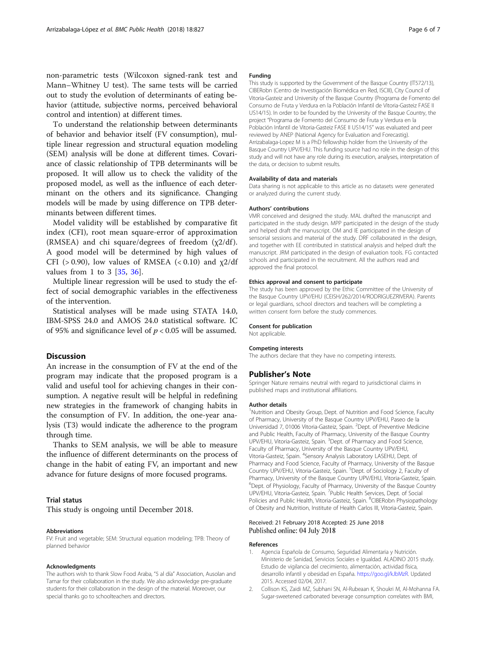<span id="page-5-0"></span>non-parametric tests (Wilcoxon signed-rank test and Mann–Whitney U test). The same tests will be carried out to study the evolution of determinants of eating behavior (attitude, subjective norms, perceived behavioral control and intention) at different times.

To understand the relationship between determinants of behavior and behavior itself (FV consumption), multiple linear regression and structural equation modeling (SEM) analysis will be done at different times. Covariance of classic relationship of TPB determinants will be proposed. It will allow us to check the validity of the proposed model, as well as the influence of each determinant on the others and its significance. Changing models will be made by using difference on TPB determinants between different times.

Model validity will be established by comparative fit index (CFI), root mean square-error of approximation (RMSEA) and chi square/degrees of freedom  $(\chi 2/df)$ . A good model will be determined by high values of CFI (> 0.90), low values of RMSEA (< 0.10) and  $\chi$ 2/df values from 1 to 3 [[35,](#page-6-0) [36\]](#page-6-0).

Multiple linear regression will be used to study the effect of social demographic variables in the effectiveness of the intervention.

Statistical analyses will be made using STATA 14.0, IBM-SPSS 24.0 and AMOS 24.0 statistical software. IC of 95% and significance level of  $p < 0.05$  will be assumed.

## **Discussion**

An increase in the consumption of FV at the end of the program may indicate that the proposed program is a valid and useful tool for achieving changes in their consumption. A negative result will be helpful in redefining new strategies in the framework of changing habits in the consumption of FV. In addition, the one-year analysis (T3) would indicate the adherence to the program through time.

Thanks to SEM analysis, we will be able to measure the influence of different determinants on the process of change in the habit of eating FV, an important and new advance for future designs of more focused programs.

## Trial status

This study is ongoing until December 2018.

#### Abbreviations

FV: Fruit and vegetable; SEM: Structural equation modeling; TPB: Theory of planned behavior

#### Acknowledgments

The authors wish to thank Slow Food Araba, "5 al día" Association, Ausolan and Tamar for their collaboration in the study. We also acknowledge pre-graduate students for their collaboration in the design of the material. Moreover, our special thanks go to schoolteachers and directors.

This study is supported by the Government of the Basque Country (IT572/13), CIBERobn (Centro de Investigación Biomédica en Red, ISCIII), City Council of Vitoria-Gasteiz and University of the Basque Country (Programa de Fomento del Consumo de Fruta y Verdura en la Población Infantil de Vitoria-Gasteiz FASE II US14/15). In order to be founded by the University of the Basque Country, the project "Programa de Fomento del Consumo de Fruta y Verdura en la Población Infantil de Vitoria-Gasteiz FASE II US14/15" was evaluated and peer reviewed by ANEP (National Agency for Evaluation and Forecastig). Arrizabalaga-Lopez M is a PhD fellowship holder from the University of the Basque Country UPV/EHU. This funding source had no role in the design of this study and will not have any role during its execution, analyses, interpretation of the data, or decision to submit results.

#### Availability of data and materials

Data sharing is not applicable to this article as no datasets were generated or analyzed during the current study.

#### Authors' contributions

VMR conceived and designed the study. MAL drafted the manuscript and participated in the study design. MPP participated in the design of the study and helped draft the manuscript. OM and IE participated in the design of sensorial sessions and material of the study. DRF collaborated in the design, and together with EE contributed in statistical analysis and helped draft the manuscript. JRM participated in the design of evaluation tools. FG contacted schools and participated in the recruitment. All the authors read and approved the final protocol.

#### Ethics approval and consent to participate

The study has been approved by the Ethic Committee of the University of the Basque Country UPV/EHU (CEISH/262/2014/RODRIGUEZRIVERA). Parents or legal guardians, school directors and teachers will be completing a written consent form before the study commences.

#### Consent for publication

Not applicable.

#### Competing interests

The authors declare that they have no competing interests.

#### Publisher's Note

Springer Nature remains neutral with regard to jurisdictional claims in published maps and institutional affiliations.

#### Author details

<sup>1</sup>Nutrition and Obesity Group, Dept. of Nutrition and Food Science, Faculty of Pharmacy, University of the Basque Country UPV/EHU, Paseo de la Universidad 7, 01006 Vitoria-Gasteiz, Spain. <sup>2</sup> Dept. of Preventive Medicine and Public Health, Faculty of Pharmacy, University of the Basque Country UPV/EHU, Vitoria-Gasteiz, Spain. <sup>3</sup>Dept. of Pharmacy and Food Science, Faculty of Pharmacy, University of the Basque Country UPV/EHU, Vitoria-Gasteiz, Spain. <sup>4</sup>Sensory Analysis Laboratory LASEHU, Dept. of Pharmacy and Food Science, Faculty of Pharmacy, University of the Basque Country UPV/EHU, Vitoria-Gasteiz, Spain. <sup>5</sup>Dept. of Sociology 2, Faculty of Pharmacy, University of the Basque Country UPV/EHU, Vitoria-Gasteiz, Spain. 6 Dept. of Physiology, Faculty of Pharmacy, University of the Basque Country UPV/EHU, Vitoria-Gasteiz, Spain. <sup>7</sup>Public Health Services, Dept. of Social Policies and Public Health, Vitoria-Gasteiz, Spain. <sup>8</sup>CIBERobn Physiopathology of Obesity and Nutrition, Institute of Health Carlos III, Vitoria-Gasteiz, Spain.

## Received: 21 February 2018 Accepted: 25 June 2018 Published online: 04 July 2018

#### References

- 1. Agencia Española de Consumo, Seguridad Alimentaria y Nutrición. Ministerio de Sanidad, Servicios Sociales e Igualdad. ALADINO 2015 study. Estudio de vigilancia del crecimiento, alimentación, actividad física, desarrollo infantil y obesidad en España. <https://goo.gl/kJbMzR>. Updated 2015. Accessed 02/04, 2017.
- 2. Collison KS, Zaidi MZ, Subhani SN, Al-Rubeaan K, Shoukri M, Al-Mohanna FA. Sugar-sweetened carbonated beverage consumption correlates with BMI,